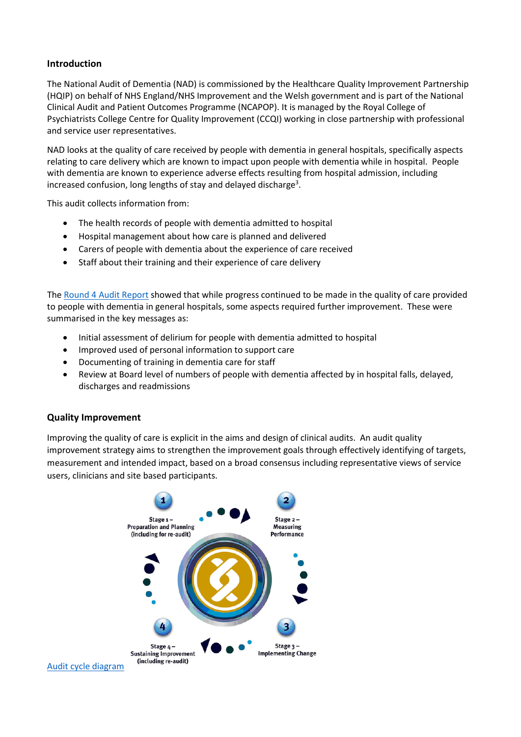# **Introduction**

The National Audit of Dementia (NAD) is commissioned by the Healthcare Quality Improvement Partnership (HQIP) on behalf of NHS England/NHS Improvement and the Welsh government and is part of the National Clinical Audit and Patient Outcomes Programme (NCAPOP). It is managed by the Royal College of Psychiatrists College Centre for Quality Improvement (CCQI) working in close partnership with professional and service user representatives.

NAD looks at the quality of care received by people with dementia in general hospitals, specifically aspects relating to care delivery which are known to impact upon people with dementia while in hospital. People with dementia are known to experience adverse effects resulting from hospital admission, including increased confusion, long lengths of stay and delayed discharge<sup>3</sup>.

This audit collects information from:

- The health records of people with dementia admitted to hospital
- Hospital management about how care is planned and delivered
- Carers of people with dementia about the experience of care received
- Staff about their training and their experience of care delivery

The [Round 4 Audit Report](https://www.rcpsych.ac.uk/docs/default-source/improving-care/ccqi/national-clinical-audits/national-audit-of-dementia/national-audit-of-dementia-round-4-report.pdf?sfvrsn=182e8960_2) showed that while progress continued to be made in the quality of care provided to people with dementia in general hospitals, some aspects required further improvement. These were summarised in the key messages as:

- Initial assessment of delirium for people with dementia admitted to hospital
- Improved used of personal information to support care
- Documenting of training in dementia care for staff
- Review at Board level of numbers of people with dementia affected by in hospital falls, delayed, discharges and readmissions

# **Quality Improvement**

Improving the quality of care is explicit in the aims and design of clinical audits. An audit quality improvement strategy aims to strengthen the improvement goals through effectively identifying of targets, measurement and intended impact, based on a broad consensus including representative views of service users, clinicians and site based participants.

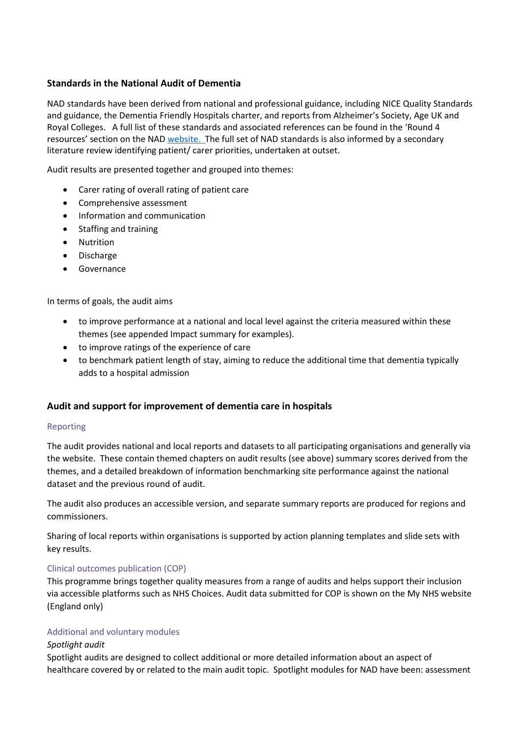# **Standards in the National Audit of Dementia**

NAD standards have been derived from national and professional guidance, including NICE Quality Standards and guidance, the Dementia Friendly Hospitals charter, and reports from Alzheimer's Society, Age UK and Royal Colleges. A full list of these standards and associated references can be found in the 'Round 4 resources' section on the NA[D website.](https://www.rcpsych.ac.uk/improving-care/ccqi/national-clinical-audits/national-audit-of-dementia/audit-round-4) The full set of NAD standards is also informed by a secondary literature review identifying patient/ carer priorities, undertaken at outset.

Audit results are presented together and grouped into themes:

- Carer rating of overall rating of patient care
- Comprehensive assessment
- Information and communication
- Staffing and training
- Nutrition
- Discharge
- Governance

In terms of goals, the audit aims

- to improve performance at a national and local level against the criteria measured within these themes (see appended Impact summary for examples).
- to improve ratings of the experience of care
- to benchmark patient length of stay, aiming to reduce the additional time that dementia typically adds to a hospital admission

# **Audit and support for improvement of dementia care in hospitals**

#### Reporting

The audit provides national and local reports and datasets to all participating organisations and generally via the website. These contain themed chapters on audit results (see above) summary scores derived from the themes, and a detailed breakdown of information benchmarking site performance against the national dataset and the previous round of audit.

The audit also produces an accessible version, and separate summary reports are produced for regions and commissioners.

Sharing of local reports within organisations is supported by action planning templates and slide sets with key results.

#### Clinical outcomes publication (COP)

This programme brings together quality measures from a range of audits and helps support their inclusion via accessible platforms such as NHS Choices. Audit data submitted for COP is shown on the My NHS website (England only)

#### Additional and voluntary modules

#### *Spotlight audit*

Spotlight audits are designed to collect additional or more detailed information about an aspect of healthcare covered by or related to the main audit topic. Spotlight modules for NAD have been: assessment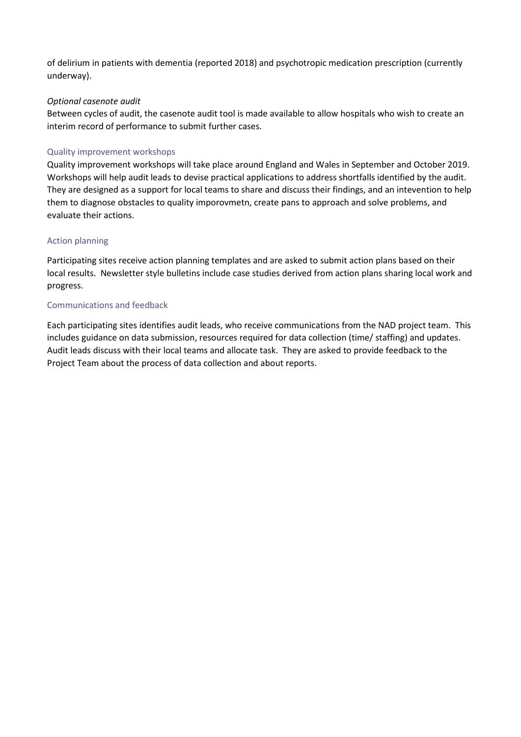of delirium in patients with dementia (reported 2018) and psychotropic medication prescription (currently underway).

# *Optional casenote audit*

Between cycles of audit, the casenote audit tool is made available to allow hospitals who wish to create an interim record of performance to submit further cases.

# Quality improvement workshops

Quality improvement workshops will take place around England and Wales in September and October 2019. Workshops will help audit leads to devise practical applications to address shortfalls identified by the audit. They are designed as a support for local teams to share and discuss their findings, and an intevention to help them to diagnose obstacles to quality imporovmetn, create pans to approach and solve problems, and evaluate their actions.

# Action planning

Participating sites receive action planning templates and are asked to submit action plans based on their local results. Newsletter style bulletins include case studies derived from action plans sharing local work and progress.

#### Communications and feedback

Each participating sites identifies audit leads, who receive communications from the NAD project team. This includes guidance on data submission, resources required for data collection (time/ staffing) and updates. Audit leads discuss with their local teams and allocate task. They are asked to provide feedback to the Project Team about the process of data collection and about reports.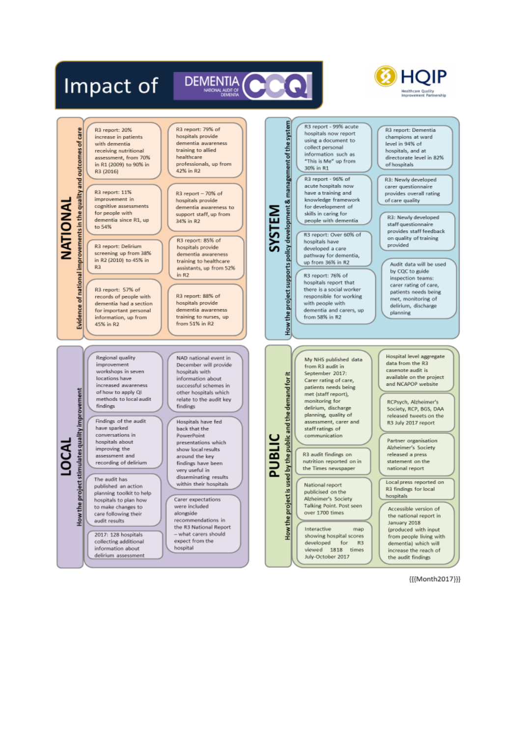

{{{Month2017}}}